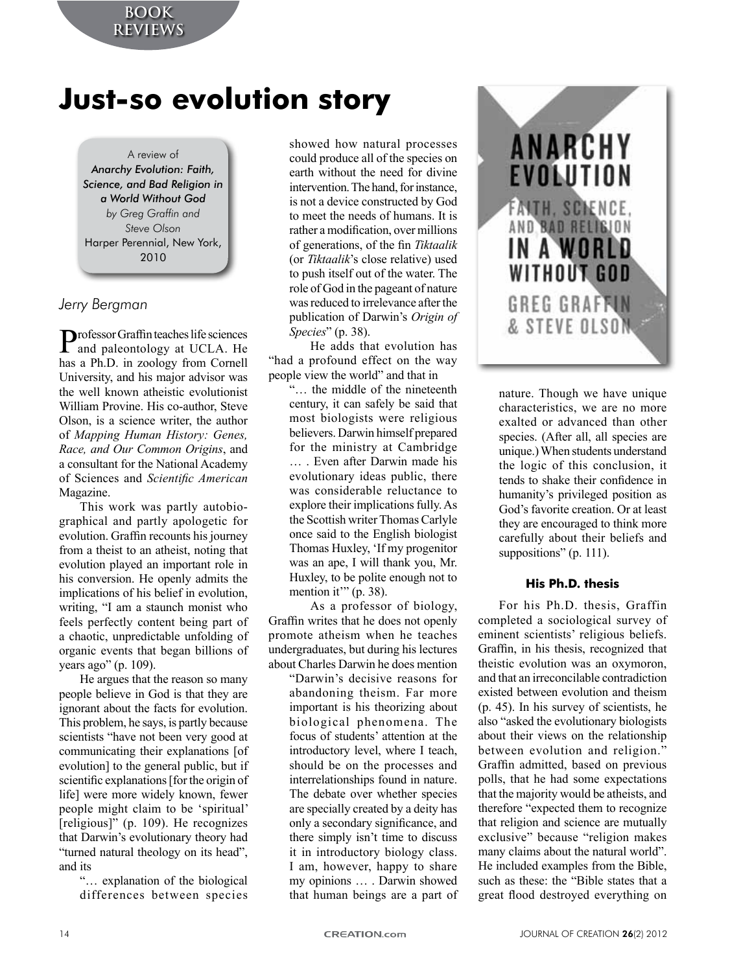# **Just-so evolution story**

A review of *Anarchy Evolution: Faith, Science, and Bad Religion in a World Without God by Greg Graffin and Steve Olson* Harper Perennial, New York, 2010

# *Jerry Bergman*

Professor Graffin teaches life sciences<br>and paleontology at UCLA. He has a Ph.D. in zoology from Cornell University, and his major advisor was the well known atheistic evolutionist William Provine. His co-author. Steve Olson, is a science writer, the author of *Mapping Human History: Genes, Race, and Our Common Origins, and* a consultant for the National Academy of Sciences and *Scientific American* Magazine.

This work was partly autobiographical and partly apologetic for evolution. Graffin recounts his journey from a theist to an atheist, noting that evolution played an important role in his conversion. He openly admits the implications of his belief in evolution. writing, "I am a staunch monist who feels perfectly content being part of a chaotic, unpredictable unfolding of organic events that began billions of years ago" (p. 109).

He argues that the reason so many people believe in God is that they are ignorant about the facts for evolution. This problem, he says, is partly because scientists "have not been very good at communicating their explanations [of evolution] to the general public, but if scientific explanations [for the origin of life] were more widely known, fewer people might claim to be 'spiritual' [religious]" (p. 109). He recognizes that Darwin's evolutionary theory had "turned natural theology on its head", and its

> "... explanation of the biological differences between species

showed how natural processes could produce all of the species on earth without the need for divine intervention. The hand, for instance, is not a device constructed by God to meet the needs of humans. It is rather a modification, over millions of generations, of the fin Tiktaalik (or *Tiktaalik*'s close relative) used to push itself out of the water. The role of God in the pageant of nature was reduced to irrelevance after the publication of Darwin's Origin of *Species*" (p. 38).

He adds that evolution has "had a profound effect on the way" people view the world" and that in

 $\ldots$  the middle of the nineteenth century, it can safely be said that most biologists were religious believers. Darwin himself prepared for the ministry at Cambridge ... . Even after Darwin made his evolutionary ideas public, there was considerable reluctance to explore their implications fully. As the Scottish writer Thomas Carlyle once said to the English biologist Thomas Huxley, 'If my progenitor was an ape, I will thank you, Mr. Huxley, to be polite enough not to mention it"  $(p. 38)$ .

As a professor of biology, Graffin writes that he does not openly promote atheism when he teaches undergraduates, but during his lectures about Charles Darwin he does mention

> "Darwin's decisive reasons for abandoning theism. Far more important is his theorizing about biological phenomena. The focus of students' attention at the introductory level, where I teach, should be on the processes and interrelationships found in nature. The debate over whether species are specially created by a deity has only a secondary significance, and there simply isn't time to discuss it in introductory biology class. I am, however, happy to share my opinions ... . Darwin showed that human beings are a part of



nature. Though we have unique characteristics, we are no more exalted or advanced than other species. (After all, all species are unique.) When students understand the logic of this conclusion, it tends to shake their confidence in humanity's privileged position as God's favorite creation. Or at least they are encouraged to think more carefully about their beliefs and suppositions" (p. 111).

# **His Ph.D. thesis**

For his Ph.D. thesis, Graffin completed a sociological survey of eminent scientists' religious beliefs. Graffin, in his thesis, recognized that theistic evolution was an oxymoron, and that an irreconcilable contradiction existed between evolution and theism  $(p. 45)$ . In his survey of scientists, he also "asked the evolutionary biologists" about their views on the relationship between evolution and religion." Graffin admitted, based on previous polls, that he had some expectations that the majority would be atheists, and therefore "expected them to recognize" that religion and science are mutually exclusive" because "religion makes" many claims about the natural world". He included examples from the Bible. such as these: the "Bible states that a great flood destroyed everything on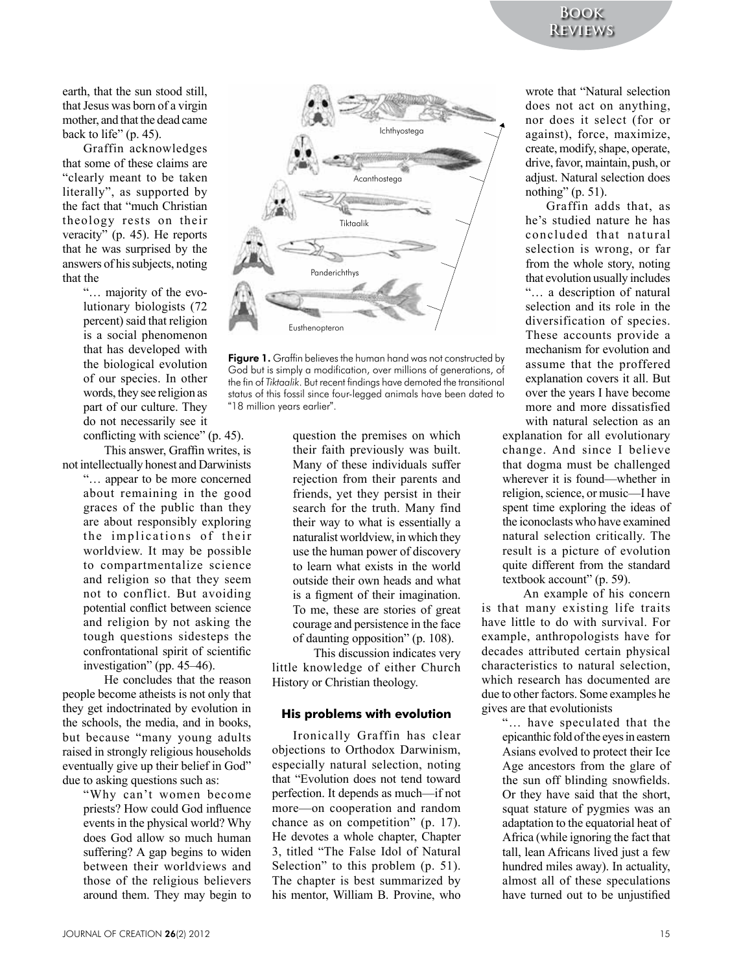earth, that the sun stood still, that Jesus was born of a virgin mother, and that the dead came back to life"  $(p. 45)$ .

Graffin' acknowledges' that some of these claims are "clearly meant to be taken literally", as supported by the fact that "much Christian" theology rests on their veracity" (p. 45). He reports that he was surprised by the answers of his subjects, noting that the

> "... majority of the evolutionary biologists (72) percent) said that religion is a social phenomenon that has developed with the biological evolution of our species. In other words, they see religion as part of our culture. They do not necessarily see it conflicting with science"  $(p. 45)$ .

This answer. Graffin writes, is not intellectually honest and Darwinists

"... appear to be more concerned about remaining in the good graces of the public than they are about responsibly exploring the implications of their worldview. It may be possible to compartmentalize science and religion so that they seem not to conflict. But avoiding potential conflict between science and religion by not asking the tough questions sidesteps the confrontational spirit of scientific investigation" (pp.  $45-46$ ).

He concludes that the reason people become atheists is not only that they get indoctrinated by evolution in the schools, the media, and in books, but because "many young adults raised in strongly religious households eventually give up their belief in God" due to asking questions such as:

> "Why can't women become priests? How could God influence events in the physical world? Why does God allow so much human suffering? A gap begins to widen between their worldviews and those of the religious believers around them. They may begin to



Figure 1. Graffin believes the human hand was not constructed by God but is simply a modification, over millions of generations, of the fin of *Tiktaalik*. But recent findings have demoted the transitional status of this fossil since four-legged animals have been dated to "18 million years earlier".

question the premises on which their faith previously was built. Many of these individuals suffer rejection from their parents and friends, yet they persist in their search for the truth. Many find their way to what is essentially a naturalist worldview, in which they use the human power of discovery to learn what exists in the world outside their own heads and what is a figment of their imagination. To me, these are stories of great courage and persistence in the face of daunting opposition" (p. 108).

This discussion indicates very little knowledge of either Church History or Christian theology.

#### **His problems with evolution**

Ironically Graffin has clear objections to Orthodox Darwinism, especially natural selection, noting that "Evolution does not tend toward perfection. It depends as much—if not more—on cooperation and random chance as on competition" (p.  $17$ ). He devotes a whole chapter, Chapter 3, titled "The False Idol of Natural" Selection" to this problem  $(p. 51)$ . The chapter is best summarized by his mentor, William B. Provine, who

wrote that "Natural selection does not act on anything. nor does it select (for or against), force, maximize, create, modify, shape, operate, drive, favor, maintain, push, or adjust. Natural selection does nothing"  $(p, 51)$ .

Graffin adds that, as he's studied nature he has concluded that natural selection is wrong, or far from the whole story, noting that evolution usually includes "…' a' description' of' natural' selection and its role in the diversification of species. These accounts provide a mechanism for evolution and assume that the proffered explanation covers it all. But over the years I have become more and more dissatisfied with natural selection as an

explanation for all evolutionary change. And since I believe that dogma must be challenged wherever it is found—whether in religion, science, or music—I have spent time exploring the ideas of the iconoclasts who have examined natural selection critically. The result is a picture of evolution quite different from the standard textbook account" (p. 59).

An example of his concern is that many existing life traits have little to do with survival. For example, anthropologists have for decades attributed certain physical characteristics to natural selection. which research has documented are due to other factors. Some examples he gives are that evolutionists

"... have speculated that the epicanthic fold of the eyes in eastern Asians evolved to protect their Ice Age ancestors from the glare of the sun off blinding snowfields. Or they have said that the short, squat stature of pygmies was an adaptation to the equatorial heat of Africa (while ignoring the fact that) tall, lean Africans lived just a few hundred miles away). In actuality, almost all of these speculations have turned out to be unjustified